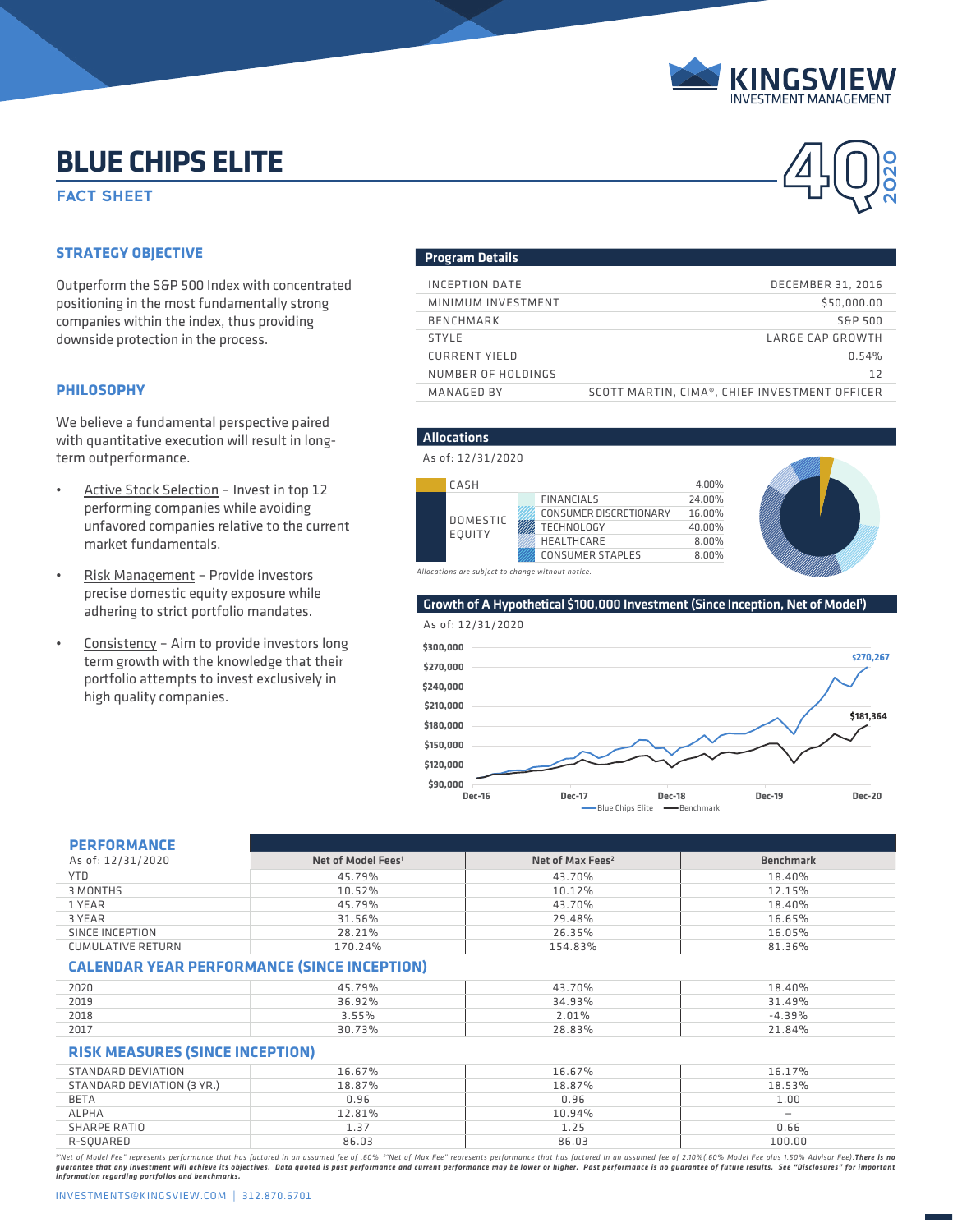

**4Q**

**2020**

# **BLUE CHIPS ELITE**

**FACT SHEET** 

# **STRATEGY OBJECTIVE**

Outperform the S&P 500 Index with concentrated positioning in the most fundamentally strong companies within the index, thus providing downside protection in the process.

## **PHILOSOPHY**

We believe a fundamental perspective paired with quantitative execution will result in longterm outperformance.

- Active Stock Selection Invest in top 12 performing companies while avoiding unfavored companies relative to the current market fundamentals.
- Risk Management Provide investors precise domestic equity exposure while adhering to strict portfolio mandates.
- Consistency Aim to provide investors long term growth with the knowledge that their portfolio attempts to invest exclusively in high quality companies.

## Program Details

| INCEPTION DATE       | <b>DECEMBER 31, 2016</b>                      |
|----------------------|-----------------------------------------------|
| MINIMUM INVESTMENT   | \$50,000,00                                   |
| <b>BENCHMARK</b>     | S&P 500                                       |
| <b>STYLE</b>         | LARGE CAP GROWTH                              |
| <b>CURRENT YIELD</b> | 0.54%                                         |
| NUMBER OF HOLDINGS   | 12                                            |
| MANAGED BY           | SCOTT MARTIN, CIMA®, CHIEF INVESTMENT OFFICER |

## Allocations

### As of: 12/31/2020





*Allocations are subject to change without notice.*

## Growth of A Hypothetical \$100,000 Investment (Since Inception, Net of Model<sup>1</sup>)



| <b>PERFORMANCE</b>                                 |                                |                              |                  |  |  |
|----------------------------------------------------|--------------------------------|------------------------------|------------------|--|--|
| As of: 12/31/2020                                  | Net of Model Fees <sup>1</sup> | Net of Max Fees <sup>2</sup> | <b>Benchmark</b> |  |  |
| <b>YTD</b>                                         | 45.79%                         | 43.70%                       | 18.40%           |  |  |
| 3 MONTHS                                           | 10.52%                         | 10.12%                       | 12.15%           |  |  |
| 1 YEAR                                             | 45.79%                         | 43.70%                       | 18.40%           |  |  |
| 3 YEAR                                             | 31.56%                         | 29.48%                       | 16.65%           |  |  |
| SINCE INCEPTION                                    | 28.21%                         | 26.35%                       | 16.05%           |  |  |
| <b>CUMULATIVE RETURN</b>                           | 170.24%                        | 154.83%                      | 81.36%           |  |  |
| <b>CALENDAR YEAR PERFORMANCE (SINCE INCEPTION)</b> |                                |                              |                  |  |  |

| 2020 | .79%<br>45 | 43.70% | 18.40%   |
|------|------------|--------|----------|
| 2019 | 36.92%     | 34.93% | 31.49%   |
| 2018 | 3.55%      | ∠.01%  | $-4.39%$ |
| 2017 | 30.73%     | 28.83% | 21.84%   |

# **RISK MEASURES (SINCE INCEPTION)**

| STANDARD DEVIATION         | 16.67% | 16.67% | 16.17% |
|----------------------------|--------|--------|--------|
| STANDARD DEVIATION (3 YR.) | 18.87% | 18.87% | 18.53% |
| <b>BETA</b>                | 0.96   | 0.96   | 1.00   |
| <b>ALPHA</b>               | 12.81% | 10.94% |        |
| SHARPE RATIO               | 1.37   | 1.25   | 0.66   |
| R-SOUARED                  | 86.03  | 86.03  | 100.00 |
|                            |        |        |        |

"Net of Model Fee" represents performance that has factored in an assumed fee of .60%. <sup>2</sup>"Net of Max Fee" represents performance that has factored in an assumed fee of 2.10%(.60% Model Fee plus 1.50% Advisor Fee).**There i** guarantee that any investment will achieve its objectives. Data quoted is past performance and current performance may be lower or higher. Past performance is no guarantee of future results. See "Disclosures" for important